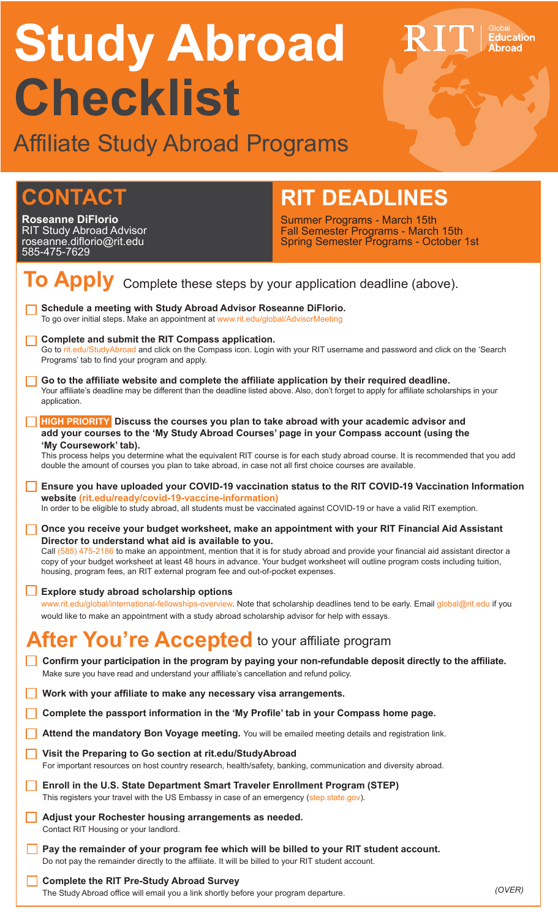# **Study Abroad Checklist**

Affiliate Study Abroad Programs

## **CONTACT**

**Roseanne DiFlorio** RIT Study Abroad Advisor roseanne.diflorio@rit.edu 585-475-7629

## **RIT DEADLINES**

Summer Programs - March 15th Fall Semester Programs - March 15th Spring Semester Programs - October 1st Education<br>Abroad

| To Apply Complete these steps by your application deadline (above).                                                                                                                                                                                                                                                                                                                                                                                                                                                   |
|-----------------------------------------------------------------------------------------------------------------------------------------------------------------------------------------------------------------------------------------------------------------------------------------------------------------------------------------------------------------------------------------------------------------------------------------------------------------------------------------------------------------------|
| Schedule a meeting with Study Abroad Advisor Roseanne DiFlorio.<br>To go over initial steps. Make an appointment at www.rit.edu/global/AdvisorMeeting                                                                                                                                                                                                                                                                                                                                                                 |
| Complete and submit the RIT Compass application.<br>Go to rit.edu/StudyAbroad and click on the Compass icon. Login with your RIT username and password and click on the 'Search<br>Programs' tab to find your program and apply.                                                                                                                                                                                                                                                                                      |
| Go to the affiliate website and complete the affiliate application by their required deadline.<br>Your affiliate's deadline may be different than the deadline listed above. Also, don't forget to apply for affiliate scholarships in your<br>application.                                                                                                                                                                                                                                                           |
| <b>HIGH PRIORITY</b> Discuss the courses you plan to take abroad with your academic advisor and<br>add your courses to the 'My Study Abroad Courses' page in your Compass account (using the<br>'My Coursework' tab).                                                                                                                                                                                                                                                                                                 |
| This process helps you determine what the equivalent RIT course is for each study abroad course. It is recommended that you add<br>double the amount of courses you plan to take abroad, in case not all first choice courses are available.                                                                                                                                                                                                                                                                          |
| Ensure you have uploaded your COVID-19 vaccination status to the RIT COVID-19 Vaccination Information<br>website (rit.edu/ready/covid-19-vaccine-information)<br>In order to be eligible to study abroad, all students must be vaccinated against COVID-19 or have a valid RIT exemption.                                                                                                                                                                                                                             |
| Once you receive your budget worksheet, make an appointment with your RIT Financial Aid Assistant<br>Director to understand what aid is available to you.<br>Call (585) 475-2186 to make an appointment, mention that it is for study abroad and provide your financial aid assistant director a<br>copy of your budget worksheet at least 48 hours in advance. Your budget worksheet will outline program costs including tuition,<br>housing, program fees, an RIT external program fee and out-of-pocket expenses. |
| Explore study abroad scholarship options<br>www.rit.edu/global/international-fellowships-overview. Note that scholarship deadlines tend to be early. Email global@rit.edu if you<br>would like to make an appointment with a study abroad scholarship advisor for help with essays.                                                                                                                                                                                                                                   |
| After You're Accepted to your affiliate program                                                                                                                                                                                                                                                                                                                                                                                                                                                                       |
| Confirm your participation in the program by paying your non-refundable deposit directly to the affiliate.<br>Make sure you have read and understand your affiliate's cancellation and refund policy.                                                                                                                                                                                                                                                                                                                 |
| Work with your affiliate to make any necessary visa arrangements.                                                                                                                                                                                                                                                                                                                                                                                                                                                     |
| Complete the passport information in the 'My Profile' tab in your Compass home page.                                                                                                                                                                                                                                                                                                                                                                                                                                  |
| Attend the mandatory Bon Voyage meeting. You will be emailed meeting details and registration link.                                                                                                                                                                                                                                                                                                                                                                                                                   |
| Visit the Preparing to Go section at rit.edu/StudyAbroad<br>For important resources on host country research, health/safety, banking, communication and diversity abroad.                                                                                                                                                                                                                                                                                                                                             |
| Enroll in the U.S. State Department Smart Traveler Enrollment Program (STEP)<br>This registers your travel with the US Embassy in case of an emergency (step.state.gov).                                                                                                                                                                                                                                                                                                                                              |
| Adjust your Rochester housing arrangements as needed.<br>Contact RIT Housing or your landlord.                                                                                                                                                                                                                                                                                                                                                                                                                        |
| Pay the remainder of your program fee which will be billed to your RIT student account.<br>Do not pay the remainder directly to the affiliate. It will be billed to your RIT student account.                                                                                                                                                                                                                                                                                                                         |
| <b>Complete the RIT Pre-Study Abroad Survey</b><br>(OVER)<br>The Study Abroad office will email you a link shortly before your program departure.                                                                                                                                                                                                                                                                                                                                                                     |